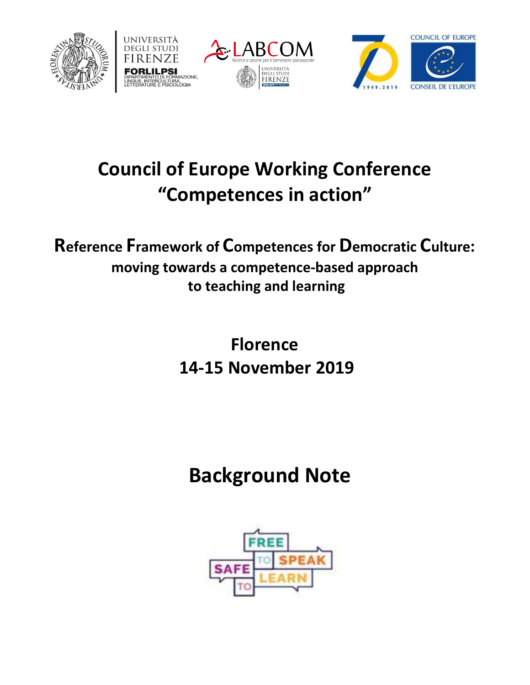







## **Council of Europe Working Conference "Competences in action"**

**Reference Framework of Competences for Democratic Culture: moving towards a competence-based approach to teaching and learning**

> **Florence 14-15 November 2019**

# **Background Note**

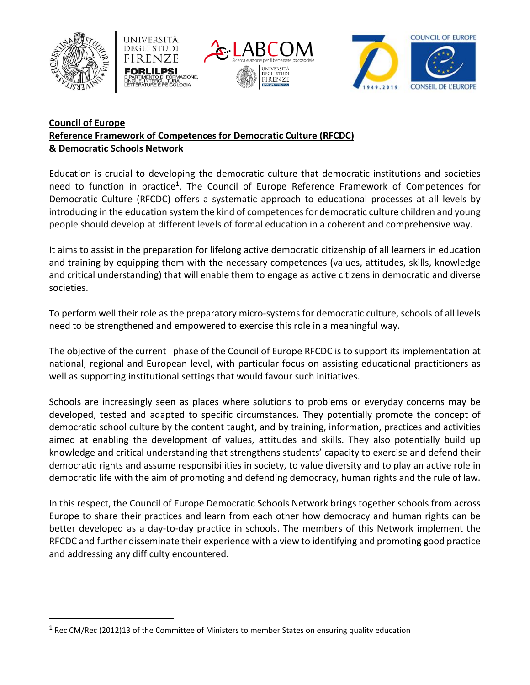

 $\overline{a}$ 







### **Council of Europe Reference Framework of Competences for Democratic Culture (RFCDC) & Democratic Schools Network**

Education is crucial to developing the democratic culture that democratic institutions and societies need to function in practice<sup>1</sup>. The Council of Europe Reference Framework of Competences for Democratic Culture (RFCDC) offers a systematic approach to educational processes at all levels by introducing in the education system the kind of competencesfor democratic culture children and young people should develop at different levels of formal education in a coherent and comprehensive way.

It aims to assist in the preparation for lifelong active democratic citizenship of all learners in education and training by equipping them with the necessary competences (values, attitudes, skills, knowledge and critical understanding) that will enable them to engage as active citizens in democratic and diverse societies.

To perform well their role as the preparatory micro-systems for democratic culture, schools of all levels need to be strengthened and empowered to exercise this role in a meaningful way.

The objective of the current phase of the Council of Europe RFCDC is to support its implementation at national, regional and European level, with particular focus on assisting educational practitioners as well as supporting institutional settings that would favour such initiatives.

Schools are increasingly seen as places where solutions to problems or everyday concerns may be developed, tested and adapted to specific circumstances. They potentially promote the concept of democratic school culture by the content taught, and by training, information, practices and activities aimed at enabling the development of values, attitudes and skills. They also potentially build up knowledge and critical understanding that strengthens students' capacity to exercise and defend their democratic rights and assume responsibilities in society, to value diversity and to play an active role in democratic life with the aim of promoting and defending democracy, human rights and the rule of law.

In this respect, the Council of Europe Democratic Schools Network brings together schools from across Europe to share their practices and learn from each other how democracy and human rights can be better developed as a day-to-day practice in schools. The members of this Network implement the RFCDC and further disseminate their experience with a view to identifying and promoting good practice and addressing any difficulty encountered.

 $1$  Rec CM/Rec (2012)13 of the Committee of Ministers to member States on ensuring quality education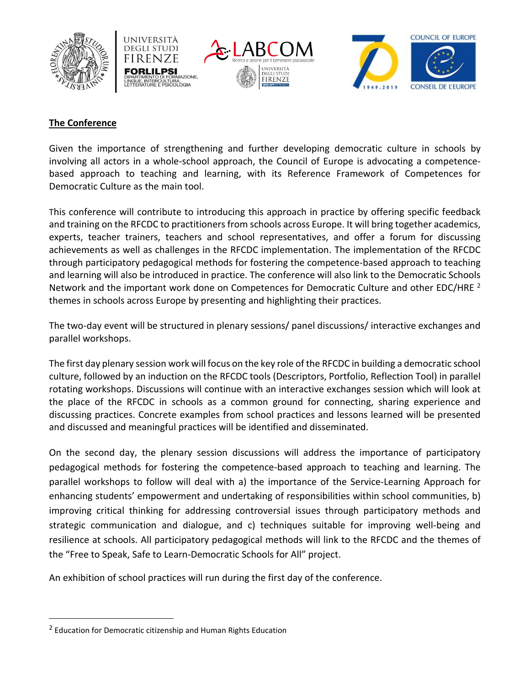







#### **The Conference**

Given the importance of strengthening and further developing democratic culture in schools by involving all actors in a whole-school approach, the Council of Europe is advocating a competencebased approach to teaching and learning, with its Reference Framework of Competences for Democratic Culture as the main tool.

This conference will contribute to introducing this approach in practice by offering specific feedback and training on the RFCDC to practitioners from schools across Europe. It will bring together academics, experts, teacher trainers, teachers and school representatives, and offer a forum for discussing achievements as well as challenges in the RFCDC implementation. The implementation of the RFCDC through participatory pedagogical methods for fostering the competence-based approach to teaching and learning will also be introduced in practice. The conference will also link to the Democratic Schools Network and the important work done on Competences for Democratic Culture and other EDC/HRE <sup>2</sup> themes in schools across Europe by presenting and highlighting their practices.

The two-day event will be structured in plenary sessions/ panel discussions/ interactive exchanges and parallel workshops.

The first day plenary session work will focus on the key role of the RFCDC in building a democratic school culture, followed by an induction on the RFCDC tools (Descriptors, Portfolio, Reflection Tool) in parallel rotating workshops. Discussions will continue with an interactive exchanges session which will look at the place of the RFCDC in schools as a common ground for connecting, sharing experience and discussing practices. Concrete examples from school practices and lessons learned will be presented and discussed and meaningful practices will be identified and disseminated.

On the second day, the plenary session discussions will address the importance of participatory pedagogical methods for fostering the competence-based approach to teaching and learning. The parallel workshops to follow will deal with a) the importance of the Service-Learning Approach for enhancing students' empowerment and undertaking of responsibilities within school communities, b) improving critical thinking for addressing controversial issues through participatory methods and strategic communication and dialogue, and c) techniques suitable for improving well-being and resilience at schools. All participatory pedagogical methods will link to the RFCDC and the themes of the "Free to Speak, Safe to Learn-Democratic Schools for All" project.

An exhibition of school practices will run during the first day of the conference.

 $\overline{a}$ 

<sup>&</sup>lt;sup>2</sup> Education for Democratic citizenship and Human Rights Education